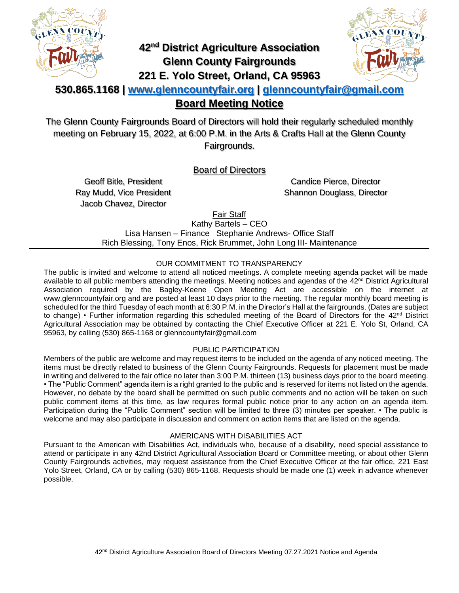

## **42nd District Agriculture Association Glenn County Fairgrounds 221 E. Yolo Street, Orland, CA 95963**



## **530.865.1168 | [www.glenncountyfair.org](http://www.glenncountyfair.org/) | [glenncountyfair@gmail.com](mailto:glenncountyfair@gmail.com) Board Meeting Notice**

The Glenn County Fairgrounds Board of Directors will hold their regularly scheduled monthly meeting on February 15, 2022, at 6:00 P.M. in the Arts & Crafts Hall at the Glenn County Fairgrounds.

Board of Directors

Geoff Bitle, President Ray Mudd, Vice President Jacob Chavez, Director

Candice Pierce, Director Shannon Douglass, Director

Fair Staff

Kathy Bartels – CEO Lisa Hansen – Finance Stephanie Andrews- Office Staff Rich Blessing, Tony Enos, Rick Brummet, John Long III- Maintenance

## OUR COMMITMENT TO TRANSPARENCY

The public is invited and welcome to attend all noticed meetings. A complete meeting agenda packet will be made available to all public members attending the meetings. Meeting notices and agendas of the 42<sup>nd</sup> District Agricultural Association required by the Bagley-Keene Open Meeting Act are accessible on the internet at www.glenncountyfair.org and are posted at least 10 days prior to the meeting. The regular monthly board meeting is scheduled for the third Tuesday of each month at 6:30 P.M. in the Director's Hall at the fairgrounds. (Dates are subject to change) • Further information regarding this scheduled meeting of the Board of Directors for the 42<sup>nd</sup> District Agricultural Association may be obtained by contacting the Chief Executive Officer at 221 E. Yolo St, Orland, CA 95963, by calling (530) 865-1168 or glenncountyfair@gmail.com

## PUBLIC PARTICIPATION

Members of the public are welcome and may request items to be included on the agenda of any noticed meeting. The items must be directly related to business of the Glenn County Fairgrounds. Requests for placement must be made in writing and delivered to the fair office no later than 3:00 P.M. thirteen (13) business days prior to the board meeting. • The "Public Comment" agenda item is a right granted to the public and is reserved for items not listed on the agenda. However, no debate by the board shall be permitted on such public comments and no action will be taken on such public comment items at this time, as law requires formal public notice prior to any action on an agenda item. Participation during the "Public Comment" section will be limited to three (3) minutes per speaker. • The public is welcome and may also participate in discussion and comment on action items that are listed on the agenda.

## AMERICANS WITH DISABILITIES ACT

Pursuant to the American with Disabilities Act, individuals who, because of a disability, need special assistance to attend or participate in any 42nd District Agricultural Association Board or Committee meeting, or about other Glenn County Fairgrounds activities, may request assistance from the Chief Executive Officer at the fair office, 221 East Yolo Street, Orland, CA or by calling (530) 865-1168. Requests should be made one (1) week in advance whenever possible.